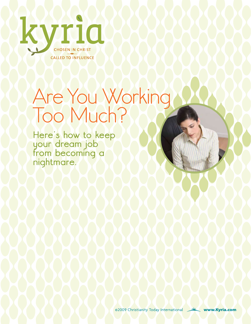

## Are You Working Too Much?

**Here's how to keep your dream job from becoming a nightmare.** 

©2009 Christianity Today International **[www.Kyria.com](www.kyria.com)**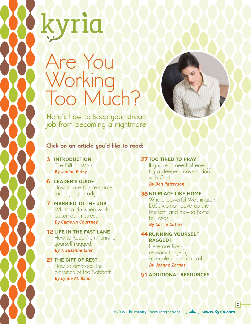## Are You **Working** Too Much?

TIC

**Here's how to keep your dream job from becoming a nightmare.** 

**Click on an article you'd like to read:**

- **3** [Introduction](#page-2-0)  [The Gift of Work](#page-2-0)  [By Janine Petry](#page-2-0)
- **6** [Leader's Guide](#page-5-0) How to use this resource for a group study.

#### **7** [Married to the Job](#page-6-0)  [What to do when work](#page-6-0)  [becomes "mistress."](#page-6-0)  [By](#page-6-0) Camerin Courtney

#### **12** [Life in the Fast Lane](#page-11-0)  [How to keep from running](#page-11-0)  [yourself ragged.](#page-11-0)  [By](#page-11-0) T. Suzanne Eller

**21**[The Gift of Rest](#page-20-0)  [How to embrace the](#page-20-0)  [blessings of the Sabbath.](#page-20-0)  [By](#page-20-0) Lynne M. Baab

#### **27**[Too Tired to Pray](#page-26-0)

[If you're in need of energy,](#page-26-0)  [try a deeper conversation](#page-26-0)  [with God.](#page-26-0) 

[By](#page-26-0) Ben Patterson

#### **38** [No Place Like Home](#page-37-0)

Why a powerful Washington, [D.C., woman gave up the](#page-37-0)  limelight and moved home [to Texas.](#page-37-0)  By Corrie Cutrer

#### **44 RUNNING YOURSELF** RAGGED?

[Here are five good](#page-43-0)  [reasons to get your](#page-43-0)  [schedule under control.](#page-43-0)  By Jeanne Zornes

**51** [additional resources](#page-50-0)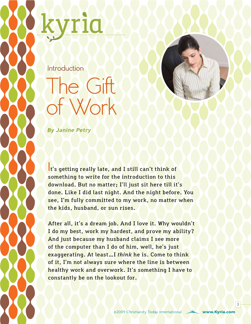<span id="page-2-0"></span>**Introduction**

By Janine Petry

he Gift

Work

**I**t's getting really late, and I still can't think of something to write for the introduction to this download. But no matter; I'll just sit here till it's done. Like I did last night. And the night before. You see, I'm fully committed to my work, no matter when the kids, husband, or sun rises.

After all, it's a dream job. And I love it. Why wouldn't I do my best, work my hardest, and prove my ability? And just because my husband claims I see more of the computer than I do of him, well, he's just exaggerating. At least…I *think* he is. Come to think of it, I'm not always sure where the line is between healthy work and overwork. It's something I have to constantly be on the lookout for.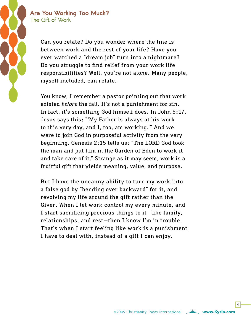

Can you relate? Do you wonder where the line is between work and the rest of your life? Have you ever watched a "dream job" turn into a nightmare? Do you struggle to find relief from your work life responsibilities? Well, you're not alone. Many people, myself included, can relate.

You know, I remember a pastor pointing out that work existed *before* the fall. It's not a punishment for sin. In fact, it's something God himself does. In John 5:17, Jesus says this: "'My Father is always at his work to this very day, and I, too, am working.'" And we were to join God in purposeful activity from the very beginning. Genesis 2:15 tells us: "The LORD God took the man and put him in the Garden of Eden to work it and take care of it." Strange as it may seem, work is a fruitful gift that yields meaning, value, and purpose.

But I have the uncanny ability to turn my work into a false god by "bending over backward" for it, and revolving my life around the gift rather than the Giver. When I let work control my every minute, and I start sacrificing precious things to it—like family, relationships, and rest—then I know I'm in trouble. That's when I start feeling like work is a punishment I have to deal with, instead of a gift I can enjoy.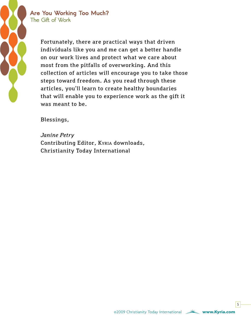

Fortunately, there are practical ways that driven individuals like you and me can get a better handle on our work lives and protect what we care about most from the pitfalls of overworking. And this collection of articles will encourage you to take those steps toward freedom. As you read through these articles, you'll learn to create healthy boundaries that will enable you to experience work as the gift it was meant to be.

Blessings,

*Janine Petry* Contributing Editor, Kyria downloads, Christianity Today International

 $5<sup>1</sup>$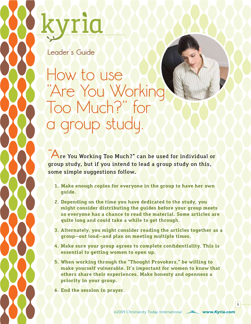<span id="page-5-0"></span>



**Leader's Guide**

How to use "Are You Working Too Much?" for group study.

**"A**re You Working Too Much?" can be used for individual or group study, but if you intend to lead a group study on this, some simple suggestions follow.

- **1. Make enough copies for everyone in the group to have her own guide.**
- **2. Depending on the time you have dedicated to the study, you might consider distributing the guides before your group meets so everyone has a chance to read the material. Some articles are quite long and could take a while to get through.**
- **3. Alternately, you might consider reading the articles together as a group—out loud—and plan on meeting multiple times.**
- **4. Make sure your group agrees to complete confidentiality. This is essential to getting women to open up.**
- **5. When working through the "Thought Provokers," be willing to make yourself vulnerable. It's important for women to know that others share their experiences. Make honesty and openness a priority in your group.**

**6. End the session in prayer.**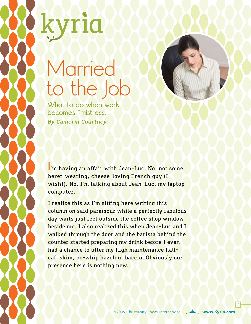## <span id="page-6-0"></span>Married to the Job

**What to do when work**  becomes "mistress. By Camerin Courtney

**I**'m having an affair with Jean-Luc. No, not some beret-wearing, cheese-loving French guy (I wish!). No, I'm talking about Jean-Luc, my laptop computer.

I realize this as I'm sitting here writing this column on said paramour while a perfectly fabulous day waits just feet outside the coffee shop window beside me. I also realized this when Jean-Luc and I walked through the door and the barista behind the counter started preparing my drink before I even had a chance to utter my high maintenance halfcaf, skim, no-whip hazelnut baccio. Obviously our presence here is nothing new.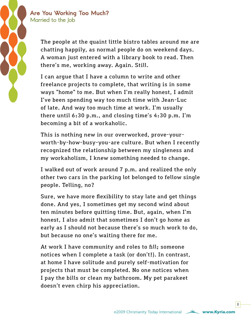

The people at the quaint little bistro tables around me are chatting happily, as normal people do on weekend days. A woman just entered with a library book to read. Then there's me, working away. Again. Still.

I can argue that I have a column to write and other freelance projects to complete, that writing is in some ways "home" to me. But when I'm really honest, I admit I've been spending way too much time with Jean-Luc of late. And way too much time at work. I'm usually there until 6:30 p.m., and closing time's 4:30 p.m. I'm becoming a bit of a workaholic.

This is nothing new in our overworked, prove-yourworth-by-how-busy-you-are culture. But when I recently recognized the relationship between my singleness and my workaholism, I knew something needed to change.

I walked out of work around 7 p.m. and realized the only other two cars in the parking lot belonged to fellow single people. Telling, no?

Sure, we have more flexibility to stay late and get things done. And yes, I sometimes get my second wind about ten minutes before quitting time. But, again, when I'm honest, I also admit that sometimes I don't go home as early as I should not because there's so much work to do, but because no one's waiting there for me.

At work I have community and roles to fill; someone notices when I complete a task (or don't!). In contrast, at home I have solitude and purely self-motivation for projects that must be completed. No one notices when I pay the bills or clean my bathroom. My pet parakeet doesn't even chirp his appreciation.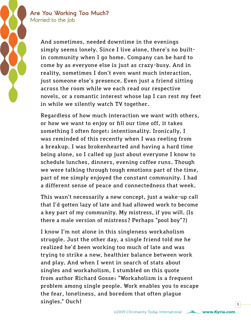> And sometimes, needed downtime in the evenings simply seems lonely. Since I live alone, there's no builtin community when I go home. Company can be hard to come by as everyone else is just as crazy-busy. And in reality, sometimes I don't even want much interaction, just someone else's presence. Even just a friend sitting across the room while we each read our respective novels, or a romantic interest whose lap I can rest my feet in while we silently watch TV together.

> Regardless of how much interaction we want with others, or how we want to enjoy or fill our time off, it takes something I often forget: intentionality. Ironically, I was reminded of this recently when I was reeling from a breakup. I was brokenhearted and having a hard time being alone, so I called up just about everyone I know to schedule lunches, dinners, evening coffee runs. Though we were talking through tough emotions part of the time, part of me simply enjoyed the constant community. I had a different sense of peace and connectedness that week.

> This wasn't necessarily a new concept, just a wake-up call that I'd gotten lazy of late and had allowed work to become a key part of my community. My mistress, if you will. (Is there a male version of mistress? Perhaps "pool boy"?)

> I know I'm not alone in this singleness workaholism struggle. Just the other day, a single friend told me he realized he'd been working too much of late and was trying to strike a new, healthier balance between work and play. And when I went in search of stats about singles and workaholism, I stumbled on this quote from author Richard Gosse: "Workaholism is a frequent problem among single people. Work enables you to escape the fear, loneliness, and boredom that often plague singles." Ouch!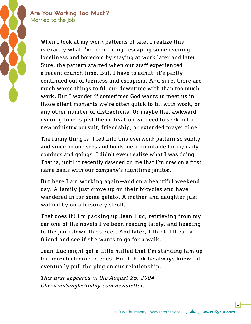When I look at my work patterns of late, I realize this is exactly what I've been doing—escaping some evening loneliness and boredom by staying at work later and later. Sure, the pattern started when our staff experienced a recent crunch time. But, I have to admit, it's partly continued out of laziness and escapism. And sure, there are much worse things to fill our downtime with than too much work. But I wonder if sometimes God wants to meet us in those silent moments we're often quick to fill with work, or any other number of distractions. Or maybe that awkward evening time is just the motivation we need to seek out a new ministry pursuit, friendship, or extended prayer time.

The funny thing is, I fell into this overwork pattern so subtly, and since no one sees and holds me accountable for my daily comings and goings, I didn't even realize what I was doing. That is, until it recently dawned on me that I'm now on a firstname basis with our company's nighttime janitor.

But here I am working again—and on a beautiful weekend day. A family just drove up on their bicycles and have wandered in for some gelato. A mother and daughter just walked by on a leisurely stroll.

That does it! I'm packing up Jean-Luc, retrieving from my car one of the novels I've been reading lately, and heading to the park down the street. And later, I think I'll call a friend and see if she wants to go for a walk.

Jean-Luc might get a little miffed that I'm standing him up for non-electronic friends. But I think he always knew I'd eventually pull the plug on our relationship.

*This first appeared in the August 25, 2004 ChristianSinglesToday.com newsletter.*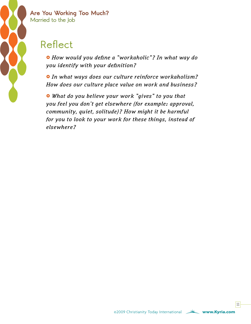

### **Reflect**

£ *How would you define a "workaholic"? In what way do you identify with your definition?* 

£ *In what ways does our culture reinforce workaholism? How does our culture place value on work and business?* 

£ *What do you believe your work "gives" to you that you feel you don't get elsewhere (for example: approval, community, quiet, solitude)? How might it be harmful for you to look to your work for these things, instead of elsewhere?*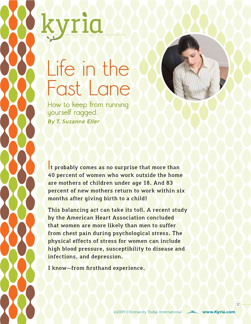## <span id="page-11-0"></span>Life in the Fast Lane

**How to keep from running yourself ragged.** By T. Suzanne Eller

**I**t probably comes as no surprise that more than 40 percent of women who work outside the home are mothers of children under age 18. And 83 percent of new mothers return to work within six months after giving birth to a child!

This balancing act can take its toll. A recent study by the American Heart Association concluded that women are more likely than men to suffer from chest pain during psychological stress. The physical effects of stress for women can include high blood pressure, susceptibility to disease and infections, and depression.

I know—from firsthand experience.

 $12<sup>1</sup>$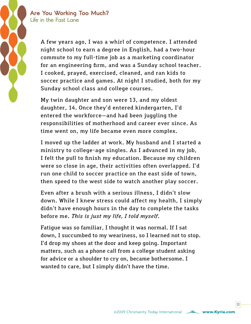> A few years ago, I was a whirl of competence. I attended night school to earn a degree in English, had a two-hour commute to my full-time job as a marketing coordinator for an engineering firm, and was a Sunday school teacher. I cooked, prayed, exercised, cleaned, and ran kids to soccer practice and games. At night I studied, both for my Sunday school class and college courses.

My twin daughter and son were 13, and my oldest daughter, 14. Once they'd entered kindergarten, I'd entered the workforce—and had been juggling the responsibilities of motherhood and career ever since. As time went on, my life became even more complex.

I moved up the ladder at work. My husband and I started a ministry to college-age singles. As I advanced in my job, I felt the pull to finish my education. Because my children were so close in age, their activities often overlapped. I'd run one child to soccer practice on the east side of town, then speed to the west side to watch another play soccer.

Even after a brush with a serious illness, I didn't slow down. While I knew stress could affect my health, I simply didn't have enough hours in the day to complete the tasks before me. *This is just my life, I told myself.*

Fatigue was so familiar, I thought it was normal. If I sat down, I succumbed to my weariness, so I learned not to stop. I'd drop my shoes at the door and keep going. Important matters, such as a phone call from a college student asking for advice or a shoulder to cry on, became bothersome. I wanted to care, but I simply didn't have the time.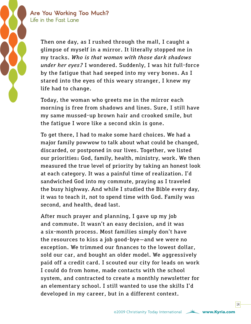

Then one day, as I rushed through the mall, I caught a glimpse of myself in a mirror. It literally stopped me in my tracks. *Who is that woman with those dark shadows under her eyes?* I wondered. Suddenly, I was hit full-force by the fatigue that had seeped into my very bones. As I stared into the eyes of this weary stranger, I knew my life had to change.

Today, the woman who greets me in the mirror each morning is free from shadows and lines. Sure, I still have my same mussed-up brown hair and crooked smile, but the fatigue I wore like a second skin is gone.

To get there, I had to make some hard choices. We had a major family powwow to talk about what could be changed, discarded, or postponed in our lives. Together, we listed our priorities: God, family, health, ministry, work. We then measured the true level of priority by taking an honest look at each category. It was a painful time of realization. I'd sandwiched God into my commute, praying as I traveled the busy highway. And while I studied the Bible every day, it was to teach it, not to spend time with God. Family was second, and health, dead last.

After much prayer and planning, I gave up my job and commute. It wasn't an easy decision, and it was a six-month process. Most families simply don't have the resources to kiss a job good-bye—and we were no exception. We trimmed our finances to the lowest dollar, sold our car, and bought an older model. We aggressively paid off a credit card. I scouted our city for leads on work I could do from home, made contacts with the school system, and contracted to create a monthly newsletter for an elementary school. I still wanted to use the skills I'd developed in my career, but in a different context.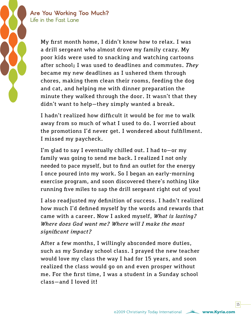> My first month home, I didn't know how to relax. I was a drill sergeant who almost drove my family crazy. My poor kids were used to snacking and watching cartoons after school; I was used to deadlines and commutes. *They*  became my new deadlines as I ushered them through chores, making them clean their rooms, feeding the dog and cat, and helping me with dinner preparation the minute they walked through the door. It wasn't that they didn't want to help—they simply wanted a break.

I hadn't realized how difficult it would be for me to walk away from so much of what I used to do. I worried about the promotions I'd never get. I wondered about fulfillment. I missed my paycheck.

I'm glad to say I eventually chilled out. I had to—or my family was going to send me back. I realized I not only needed to pace myself, but to find an outlet for the energy I once poured into my work. So I began an early-morning exercise program, and soon discovered there's nothing like running five miles to sap the drill sergeant right out of you!

I also readjusted my definition of success. I hadn't realized how much I'd defined myself by the words and rewards that came with a career. Now I asked myself, *What is lasting? Where does God want me? Where will I make the most significant impact?*

After a few months, I willingly absconded more duties, such as my Sunday school class. I prayed the new teacher would love my class the way I had for 15 years, and soon realized the class would go on and even prosper without me. For the first time, I was a student in a Sunday school class—and I loved it!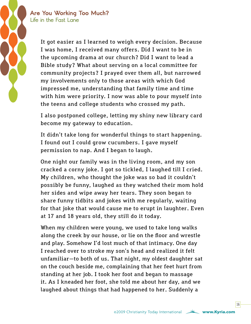> It got easier as I learned to weigh every decision. Because I was home, I received many offers. Did I want to be in the upcoming drama at our church? Did I want to lead a Bible study? What about serving on a local committee for community projects? I prayed over them all, but narrowed my involvements only to those areas with which God impressed me, understanding that family time and time with him were priority. I now was able to pour myself into the teens and college students who crossed my path.

> I also postponed college, letting my shiny new library card become my gateway to education.

> It didn't take long for wonderful things to start happening. I found out I could grow cucumbers. I gave myself permission to nap. And I began to laugh.

One night our family was in the living room, and my son cracked a corny joke. I got so tickled, I laughed till I cried. My children, who thought the joke was so bad it couldn't possibly be funny, laughed as they watched their mom hold her sides and wipe away her tears. They soon began to share funny tidbits and jokes with me regularly, waiting for that joke that would cause me to erupt in laughter. Even at 17 and 18 years old, they still do it today.

When my children were young, we used to take long walks along the creek by our house, or lie on the floor and wrestle and play. Somehow I'd lost much of that intimacy. One day I reached over to stroke my son's head and realized it felt unfamiliar—to both of us. That night, my oldest daughter sat on the couch beside me, complaining that her feet hurt from standing at her job. I took her foot and began to massage it. As I kneaded her foot, she told me about her day, and we laughed about things that had happened to her. Suddenly a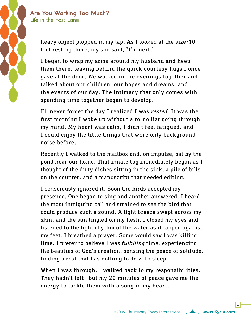

heavy object plopped in my lap. As I looked at the size-10 foot resting there, my son said, "I'm next."

I began to wrap my arms around my husband and keep them there, leaving behind the quick courtesy hugs I once gave at the door. We walked in the evenings together and talked about our children, our hopes and dreams, and the events of our day. The intimacy that only comes with spending time together began to develop.

I'll never forget the day I realized I was *rested.* It was the first morning I woke up without a to-do list going through my mind. My heart was calm, I didn't feel fatigued, and I could enjoy the little things that were only background noise before.

Recently I walked to the mailbox and, on impulse, sat by the pond near our home. That innate tug immediately began as I thought of the dirty dishes sitting in the sink, a pile of bills on the counter, and a manuscript that needed editing.

I consciously ignored it. Soon the birds accepted my presence. One began to sing and another answered. I heard the most intriguing call and strained to see the bird that could produce such a sound. A light breeze swept across my skin, and the sun tingled on my flesh. I closed my eyes and listened to the light rhythm of the water as it lapped against my feet. I breathed a prayer. Some would say I was killing time. I prefer to believe I was *fulfilling* time, experiencing the beauties of God's creation, sensing the peace of solitude, finding a rest that has nothing to do with sleep.

When I was through, I walked back to my responsibilities. They hadn't left—but my 20 minutes of peace gave me the energy to tackle them with a song in my heart.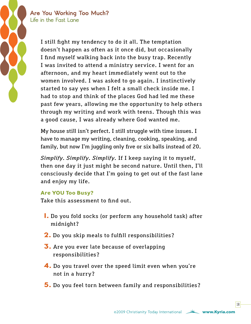> I still fight my tendency to do it all. The temptation doesn't happen as often as it once did, but occasionally I find myself walking back into the busy trap. Recently I was invited to attend a ministry service. I went for an afternoon, and my heart immediately went out to the women involved. I was asked to go again. I instinctively started to say yes when I felt a small check inside me. I had to stop and think of the places God had led me these past few years, allowing me the opportunity to help others through my writing and work with teens. Though this was a good cause, I was already where God wanted me.

> My house still isn't perfect. I still struggle with time issues. I have to manage my writing, cleaning, cooking, speaking, and family, but now I'm juggling only five or six balls instead of 20.

*Simplify. Simplify. Simplify.* If I keep saying it to myself, then one day it just might be second nature. Until then, I'll consciously decide that I'm going to get out of the fast lane and enjoy my life.

#### **Are YOU Too Busy?**

Take this assessment to find out.

- **1.** Do you fold socks (or perform any household task) after midnight?
- **2.** Do you skip meals to fulfill responsibilities?
- **3.** Are you ever late because of overlapping responsibilities?
- **4.** Do you travel over the speed limit even when you're not in a hurry?
- **5.** Do you feel torn between family and responsibilities?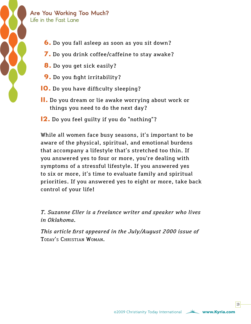

- **6.** Do you fall asleep as soon as you sit down?
- **7.** Do you drink coffee/caffeine to stay awake?
- **8.** Do you get sick easily?
- **9.** Do you fight irritability?
- **10.** Do you have difficulty sleeping?
- **11.** Do you dream or lie awake worrying about work or things you need to do the next day?
- **12.** Do you feel guilty if you do "nothing"?

While all women face busy seasons, it's important to be aware of the physical, spiritual, and emotional burdens that accompany a lifestyle that's stretched too thin. If you answered yes to four or more, you're dealing with symptoms of a stressful lifestyle. If you answered yes to six or more, it's time to evaluate family and spiritual priorities. If you answered yes to eight or more, take back control of your life!

*T. Suzanne Eller is a freelance writer and speaker who lives in Oklahoma.* 

*This article first appeared in the July/August 2000 issue of*  Today's Christian Woman*.*

©2009 Christianity Today International **[www.Kyria.com](www.kyria.com)**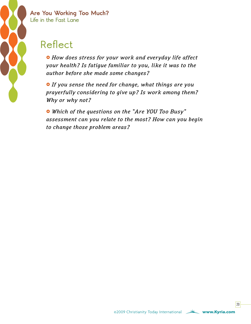

### **Reflect**

£ *How does stress for your work and everyday life affect your health? Is fatigue familiar to you, like it was to the author before she made some changes?*

£ *If you sense the need for change, what things are you prayerfully considering to give up? Is work among them? Why or why not?*

£ *Which of the questions on the "Are YOU Too Busy" assessment can you relate to the most? How can you begin to change those problem areas?*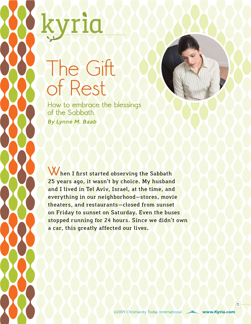# <span id="page-20-0"></span>The Gift of Rest

**How to embrace the blessings of the Sabbath.** By Lynne M. Baab

When I first started observing the Sabbath 25 years ago, it wasn't by choice. My husband and I lived in Tel Aviv, Israel, at the time, and everything in our neighborhood—stores, movie theaters, and restaurants—closed from sunset on Friday to sunset on Saturday. Even the buses stopped running for 24 hours. Since we didn't own a car, this greatly affected our lives.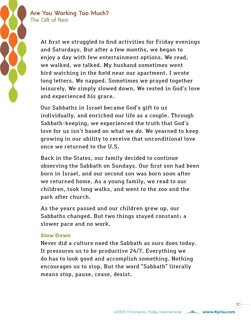> At first we struggled to find activities for Friday evenings and Saturdays. But after a few months, we began to enjoy a day with few entertainment options. We read, we walked, we talked. My husband sometimes went bird watching in the field near our apartment. I wrote long letters. We napped. Sometimes we prayed together leisurely. We simply slowed down. We rested in God's love and experienced his grace.

Our Sabbaths in Israel became God's gift to us individually, and enriched our life as a couple. Through Sabbath-keeping, we experienced the truth that God's love for us isn't based on what we *do.* We yearned to keep growing in our ability to receive that unconditional love once we returned to the U.S.

Back in the States, our family decided to continue observing the Sabbath on Sundays. Our first son had been born in Israel, and our second son was born soon after we returned home. As a young family, we read to our children, took long walks, and went to the zoo and the park after church.

As the years passed and our children grew up, our Sabbaths changed. But two things stayed constant: a slower pace and no work.

#### **Slow Down**

Never did a culture need the Sabbath as ours does today. It pressures us to be productive 24/7. Everything we do has to look good and accomplish something. Nothing encourages us to stop. But the word "Sabbath" literally means stop, pause, cease, desist.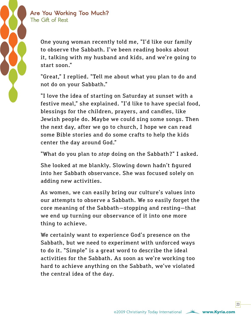

One young woman recently told me, "I'd like our family to observe the Sabbath. I've been reading books about it, talking with my husband and kids, and we're going to start soon."

"Great," I replied. "Tell me about what you plan to do and not do on your Sabbath."

"I love the idea of starting on Saturday at sunset with a festive meal," she explained. "I'd like to have special food, blessings for the children, prayers, and candles, like Jewish people do. Maybe we could sing some songs. Then the next day, after we go to church, I hope we can read some Bible stories and do some crafts to help the kids center the day around God."

"What do you plan to *stop* doing on the Sabbath?" I asked.

She looked at me blankly. Slowing down hadn't figured into her Sabbath observance. She was focused solely on adding new activities.

As women, we can easily bring our culture's values into our attempts to observe a Sabbath. We so easily forget the core meaning of the Sabbath—stopping and resting—that we end up turning our observance of it into one more thing to achieve.

We certainly want to experience God's presence on the Sabbath, but we need to experiment with unforced ways to do it. "Simple" is a great word to describe the ideal activities for the Sabbath. As soon as we're working too hard to achieve anything on the Sabbath, we've violated the central idea of the day.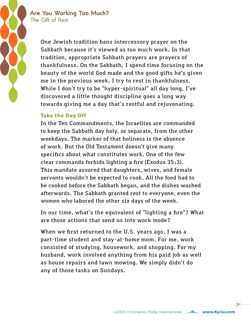One Jewish tradition bans intercessory prayer on the Sabbath because it's viewed as too much work. In that tradition, appropriate Sabbath prayers are prayers of thankfulness. On the Sabbath, I spend time focusing on the beauty of the world God made and the good gifts he's given me in the previous week. I try to rest in thankfulness. While I don't try to be "hyper-spiritual" all day long, I've discovered a little thought discipline goes a long way towards giving me a day that's restful and rejuvenating.

#### **Take the Day Off**

In the Ten Commandments, the Israelites are commanded to keep the Sabbath day holy, or separate, from the other weekdays. The marker of that holiness is the absence of work. But the Old Testament doesn't give many specifics about what constitutes work. One of the few clear commands forbids lighting a fire (Exodus 35:3). This mandate assured that daughters, wives, and female servants wouldn't be expected to cook. All the food had to be cooked before the Sabbath began, and the dishes washed afterwards. The Sabbath granted rest to everyone, even the women who labored the other six days of the week.

In our time, what's the equivalent of "lighting a fire"? What are those actions that send us into work mode?

When we first returned to the U.S. years ago, I was a part-time student and stay-at-home mom. For me, work consisted of studying, housework, and shopping. For my husband, work involved anything from his paid job as well as house repairs and lawn mowing. We simply didn't do any of those tasks on Sundays.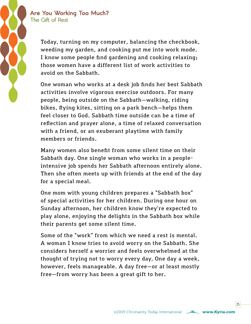

Today, turning on my computer, balancing the checkbook, weeding my garden, and cooking put me into work mode. I know some people find gardening and cooking relaxing; those women have a different list of work activities to avoid on the Sabbath.

One woman who works at a desk job finds her best Sabbath activities involve vigorous exercise outdoors. For many people, being outside on the Sabbath—walking, riding bikes, flying kites, sitting on a park bench—helps them feel closer to God. Sabbath time outside can be a time of reflection and prayer alone, a time of relaxed conversation with a friend, or an exuberant playtime with family members or friends.

Many women also benefit from some silent time on their Sabbath day. One single woman who works in a peopleintensive job spends her Sabbath afternoon entirely alone. Then she often meets up with friends at the end of the day for a special meal.

One mom with young children prepares a "Sabbath box" of special activities for her children. During one hour on Sunday afternoon, her children know they're expected to play alone, enjoying the delights in the Sabbath box while their parents get some silent time.

Some of the "work" from which we need a rest is mental. A woman I know tries to avoid worry on the Sabbath. She considers herself a worrier and feels overwhelmed at the thought of trying not to worry every day. One day a week, however, feels manageable. A day free—or at least mostly free—from worry has been a great gift to her.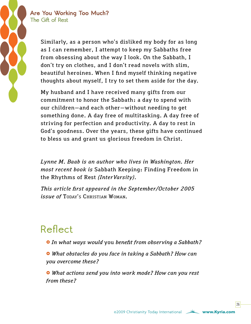

Similarly, as a person who's disliked my body for as long as I can remember, I attempt to keep my Sabbaths free from obsessing about the way I look. On the Sabbath, I don't try on clothes, and I don't read novels with slim, beautiful heroines. When I find myself thinking negative thoughts about myself, I try to set them aside for the day.

My husband and I have received many gifts from our commitment to honor the Sabbath: a day to spend with our children—and each other—without needing to get something done. A day free of multitasking. A day free of striving for perfection and productivity. A day to rest in God's goodness. Over the years, these gifts have continued to bless us and grant us glorious freedom in Christ.

*Lynne M. Baab is an author who lives in Washington. Her most recent book is* Sabbath Keeping: Finding Freedom in the Rhythms of Rest *(InterVarsity).* 

*This article first appeared in the September/October 2005 issue of* Today's Christian Woman*.*

### **Reflect**

£ *In what ways would* you *benefit from observing a Sabbath?* 

£ *What obstacles do you face in taking a Sabbath? How can you overcome these?*

£ *What actions send you into work mode? How can you rest from these?*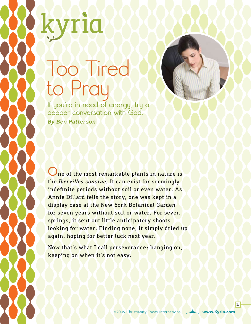## <span id="page-26-0"></span>Too Tired to Pray

**If you're in need of energy, try a deeper conversation with God.** By Ben Patterson

**O**ne of the most remarkable plants in nature is the *Ibervillea sonorae.* It can exist for seemingly indefinite periods without soil or even water. As Annie Dillard tells the story, one was kept in a display case at the New York Botanical Garden for seven years without soil or water. For seven springs, it sent out little anticipatory shoots looking for water. Finding none, it simply dried up again, hoping for better luck next year.

Now that's what I call perseverance: hanging on, keeping on when it's not easy.

©2009 Christianity Today International **[www.Kyria.com](www.kyria.com)**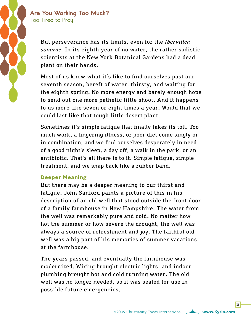

But perseverance has its limits, even for the *Ibervillea sonorae.* In its eighth year of no water, the rather sadistic scientists at the New York Botanical Gardens had a dead plant on their hands.

Most of us know what it's like to find ourselves past our seventh season, bereft of water, thirsty, and waiting for the eighth spring. No more energy and barely enough hope to send out one more pathetic little shoot. And it happens to us more like seven or eight times a year. Would that we could last like that tough little desert plant.

Sometimes it's simple fatigue that finally takes its toll. Too much work, a lingering illness, or poor diet come singly or in combination, and we find ourselves desperately in need of a good night's sleep, a day off, a walk in the park, or an antibiotic. That's all there is to it. Simple fatigue, simple treatment, and we snap back like a rubber band.

#### **Deeper Meaning**

But there may be a deeper meaning to our thirst and fatigue. John Sanford paints a picture of this in his description of an old well that stood outside the front door of a family farmhouse in New Hampshire. The water from the well was remarkably pure and cold. No matter how hot the summer or how severe the drought, the well was always a source of refreshment and joy. The faithful old well was a big part of his memories of summer vacations at the farmhouse.

The years passed, and eventually the farmhouse was modernized. Wiring brought electric lights, and indoor plumbing brought hot and cold running water. The old well was no longer needed, so it was sealed for use in possible future emergencies.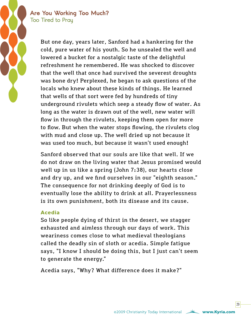

But one day, years later, Sanford had a hankering for the cold, pure water of his youth. So he unsealed the well and lowered a bucket for a nostalgic taste of the delightful refreshment he remembered. He was shocked to discover that the well that once had survived the severest droughts was bone dry! Perplexed, he began to ask questions of the locals who knew about these kinds of things. He learned that wells of that sort were fed by hundreds of tiny underground rivulets which seep a steady flow of water. As long as the water is drawn out of the well, new water will flow in through the rivulets, keeping them open for more to flow. But when the water stops flowing, the rivulets clog with mud and close up. The well dried up not because it was used too much, but because it wasn't used enough!

Sanford observed that our souls are like that well. If we do not draw on the living water that Jesus promised would well up in us like a spring (John 7:38), our hearts close and dry up, and we find ourselves in our "eighth season." The consequence for not drinking deeply of God is to eventually lose the ability to drink at all. Prayerlessness is its own punishment, both its disease and its cause.

#### **Acedia**

So like people dying of thirst in the desert, we stagger exhausted and aimless through our days of work. This weariness comes close to what medieval theologians called the deadly sin of sloth or acedia. Simple fatigue says, "I know I should be doing this, but I just can't seem to generate the energy."

Acedia says, "Why? What difference does it make?"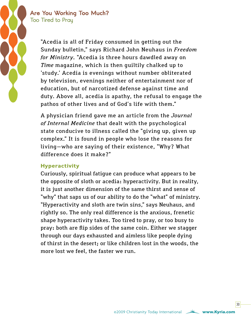

"Acedia is all of Friday consumed in getting out the Sunday bulletin," says Richard John Neuhaus in *Freedom for Ministry.* "Acedia is three hours dawdled away on *Time* magazine, which is then guiltily chalked up to 'study.' Acedia is evenings without number obliterated by television, evenings neither of entertainment nor of education, but of narcotized defense against time and duty. Above all, acedia is apathy, the refusal to engage the pathos of other lives and of God's life with them."

A physician friend gave me an article from the *Journal of Internal Medicine* that dealt with the psychological state conducive to illness called the "giving up, given up complex." It is found in people who lose the reasons for living—who are saying of their existence, "Why? What difference does it make?"

#### **Hyperactivity**

Curiously, spiritual fatigue can produce what appears to be the opposite of sloth or acedia: hyperactivity. But in reality, it is just another dimension of the same thirst and sense of "why" that saps us of our ability to do the "what" of ministry. "Hyperactivity and sloth are twin sins," says Neuhaus, and rightly so. The only real difference is the anxious, frenetic shape hyperactivity takes. Too tired to pray, or too busy to pray: both are flip sides of the same coin. Either we stagger through our days exhausted and aimless like people dying of thirst in the desert; or like children lost in the woods, the more lost we feel, the faster we run.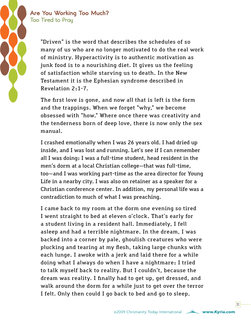

"Driven" is the word that describes the schedules of so many of us who are no longer motivated to do the real work of ministry. Hyperactivity is to authentic motivation as junk food is to a nourishing diet. It gives us the feeling of satisfaction while starving us to death. In the New Testament it is the Ephesian syndrome described in Revelation 2:1-7.

The first love is gone, and now all that is left is the form and the trappings. When we forget "why," we become obsessed with "how." Where once there was creativity and the tenderness born of deep love, there is now only the sex manual.

I crashed emotionally when I was 26 years old. I had dried up inside, and I was lost and running. Let's see if I can remember all I was doing: I was a full-time student, head resident in the men's dorm at a local Christian college—that was full-time, too—and I was working part-time as the area director for Young Life in a nearby city. I was also on retainer as a speaker for a Christian conference center. In addition, my personal life was a contradiction to much of what I was preaching.

I came back to my room at the dorm one evening so tired I went straight to bed at eleven o'clock. That's early for a student living in a resident hall. Immediately, I fell asleep and had a terrible nightmare. In the dream, I was backed into a corner by pale, ghoulish creatures who were plucking and tearing at my flesh, taking large chunks with each lunge. I awoke with a jerk and laid there for a while doing what I always do when I have a nightmare: I tried to talk myself back to reality. But I couldn't, because the dream was reality. I finally had to get up, get dressed, and walk around the dorm for a while just to get over the terror I felt. Only then could I go back to bed and go to sleep.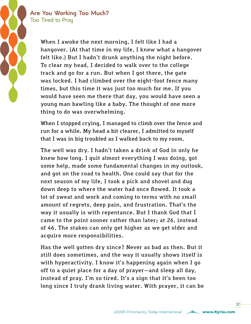

When I awoke the next morning, I felt like I had a hangover. (At that time in my life, I knew what a hangover felt like.) But I hadn't drunk anything the night before. To clear my head, I decided to walk over to the college track and go for a run. But when I got there, the gate was locked. I had climbed over the eight-foot fence many times, but this time it was just too much for me. If you would have seen me there that day, you would have seen a young man bawling like a baby. The thought of one more thing to do was overwhelming.

When I stopped crying, I managed to climb over the fence and run for a while. My head a bit clearer, I admitted to myself that I was in big troubled as I walked back to my room.

The well was dry. I hadn't taken a drink of God in only he knew how long. I quit almost everything I was doing, got some help, made some fundamental changes in my outlook, and got on the road to health. One could say that for the next season of my life, I took a pick and shovel and dug down deep to where the water had once flowed. It took a lot of sweat and work and coming to terms with no small amount of regrets, deep pain, and frustration. That's the way it usually is with repentance. But I thank God that I came to the point sooner rather than later; at 26, instead of 46. The stakes can only get higher as we get older and acquire more responsibilities.

Has the well gotten dry since? Never as bad as then. But it still does sometimes, and the way it usually shows itself is with hyperactivity. I know it's happening again when I go off to a quiet place for a day of prayer—and sleep all day, instead of pray. I'm so tired. It's a sign that it's been too long since I truly drank living water. With prayer, it can be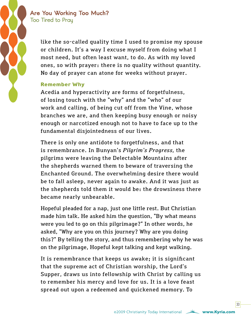

like the so-called quality time I used to promise my spouse or children. It's a way I excuse myself from doing what I most need, but often least want, to do. As with my loved ones, so with prayer: there is no quality without quantity. No day of prayer can atone for weeks without prayer.

#### **Remember Why**

Acedia and hyperactivity are forms of forgetfulness, of losing touch with the "why" and the "who" of our work and calling, of being cut off from the Vine, whose branches we are, and then keeping busy enough or noisy enough or narcotized enough not to have to face up to the fundamental disjointedness of our lives.

There is only one antidote to forgetfulness, and that is remembrance. In Bunyan's *Pilgrim's Progress,* the pilgrims were leaving the Delectable Mountains after the shepherds warned them to beware of traversing the Enchanted Ground. The overwhelming desire there would be to fall asleep, never again to awake. And it was just as the shepherds told them it would be: the drowsiness there became nearly unbearable.

Hopeful pleaded for a nap, just one little rest. But Christian made him talk. He asked him the question, "By what means were you led to go on this pilgrimage?" In other words, he asked, "Why are you on this journey? Why are you doing this?" By telling the story, and thus remembering why he was on the pilgrimage, Hopeful kept talking and kept walking.

It is remembrance that keeps us awake; it is significant that the supreme act of Christian worship, the Lord's Supper, draws us into fellowship with Christ by calling us to remember his mercy and love for us. It is a love feast spread out upon a redeemed and quickened memory. To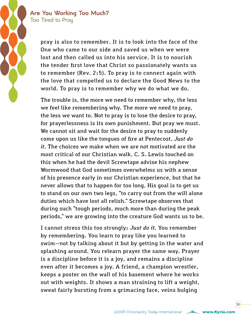> pray is also to remember. It is to look into the face of the One who came to our side and saved us when we were lost and then called us into his service. It is to nourish the tender first love that Christ so passionately wants us to remember (Rev. 2:5). To pray is to connect again with the love that compelled us to declare the Good News to the world. To pray is to remember why we do what we do.

The trouble is, the more we need to remember why, the less we feel like remembering why. The more we need to pray, the less we want to. Not to pray is to lose the desire to pray, for prayerlessness is its own punishment. But pray we must. We cannot sit and wait for the desire to pray to suddenly come upon us like the tongues of fire at Pentecost. *Just do it.* The choices we make when we are not motivated are the most critical of our Christian walk. C. S. Lewis touched on this when he had the devil Screwtape advise his nephew Wormwood that God sometimes overwhelms us with a sense of his presence early in our Christian experience, but that he never allows that to happen for too long. His goal is to get us to stand on our own two legs, "to carry out from the will alone duties which have lost all relish." Screwtape observes that during such "tough periods, much more than during the peak periods," we are growing into the creature God wants us to be.

I cannot stress this too strongly: *Just do it.* You remember by remembering. You learn to pray like you learned to swim—not by talking about it but by getting in the water and splashing around. You relearn prayer the same way. Prayer is a discipline before it is a joy, and remains a discipline even after it becomes a joy. A friend, a champion wrestler, keeps a poster on the wall of his basement where he works out with weights. It shows a man straining to lift a weight, sweat fairly bursting from a grimacing face, veins bulging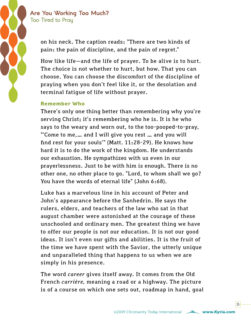

on his neck. The caption reads: "There are two kinds of pain: the pain of discipline, and the pain of regret."

How like life—and the life of prayer. To be alive is to hurt. The choice is not whether to hurt, but how. That you can choose. You can choose the discomfort of the discipline of praying when you don't feel like it, or the desolation and terminal fatigue of life without prayer.

#### **Remember Who**

There's only one thing better than remembering why you're serving Christ; it's remembering who he is. It is he who says to the weary and worn out, to the too-pooped-to-pray, "'Come to me,… and I will give you rest … and you will find rest for your souls'" (Matt. 11:28-29). He knows how hard it is to do the work of the kingdom. He understands our exhaustion. He sympathizes with us even in our prayerlessness. Just to be with him is enough. There is no other one, no other place to go. "Lord, to whom shall we go? You have the words of eternal life" (John 6:68).

Luke has a marvelous line in his account of Peter and John's appearance before the Sanhedrin. He says the rulers, elders, and teachers of the law who sat in that august chamber were astonished at the courage of these unschooled and ordinary men. The greatest thing we have to offer our people is not our education. It is not our good ideas. It isn't even our gifts and abilities. It is the fruit of the time we have spent with the Savior, the utterly unique and unparalleled thing that happens to us when we are simply in his presence.

The word *career* gives itself away. It comes from the Old French *carrière,* meaning a road or a highway. The picture is of a course on which one sets out, roadmap in hand, goal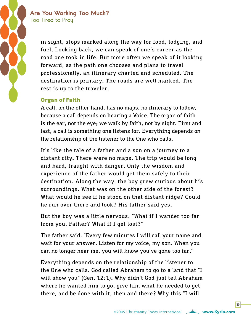

in sight, stops marked along the way for food, lodging, and fuel. Looking back, we can speak of one's career as the road one took in life. But more often we speak of it looking forward, as the path one chooses and plans to travel professionally, an itinerary charted and scheduled. The destination is primary. The roads are well marked. The rest is up to the traveler.

#### **Organ of Faith**

A call, on the other hand, has no maps, no itinerary to follow, because a call depends on hearing a Voice. The organ of faith is the ear, not the eye; we walk by faith, not by sight. First and last, a call is something one listens for. Everything depends on the relationship of the listener to the One who calls.

It's like the tale of a father and a son on a journey to a distant city. There were no maps. The trip would be long and hard, fraught with danger. Only the wisdom and experience of the father would get them safely to their destination. Along the way, the boy grew curious about his surroundings. What was on the other side of the forest? What would he see if he stood on that distant ridge? Could he run over there and look? His father said yes.

But the boy was a little nervous. "What if I wander too far from you, Father? What if I get lost?"

The father said, "Every few minutes I will call your name and wait for your answer. Listen for my voice, my son. When you can no longer hear me, you will know you've gone too far."

Everything depends on the relationship of the listener to the One who calls. God called Abraham to go to a land that "I will show you" (Gen. 12:1). Why didn't God just tell Abraham where he wanted him to go, give him what he needed to get there, and be done with it, then and there? Why this "I will

 $36<sup>1</sup>$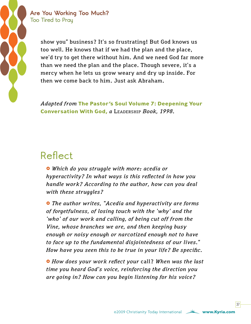

show you" business? It's so frustrating! But God knows us too well. He knows that if we had the plan and the place, we'd try to get there without him. And we need God far more than we need the plan and the place. Though severe, it's a mercy when he lets us grow weary and dry up inside. For then we come back to him. Just ask Abraham.

*Adapted from* **[The Pastor's Soul Volume 7: Deepening Your](http://www.ctlibrary.com/7567)  [Conversation With God,](http://www.ctlibrary.com/7567)** *a* Leadership *Book, 1998.* 

### **Reflect**

£ *Which do you struggle with more: acedia or hyperactivity? In what ways is this reflected in how you handle work? According to the author, how can you deal with these struggles?*

£ *The author writes, "Acedia and hyperactivity are forms of forgetfulness, of losing touch with the 'why' and the 'who' of our work and calling, of being cut off from the Vine, whose branches we are, and then keeping busy enough or noisy enough or narcotized enough not to have to face up to the fundamental disjointedness of our lives." How have you seen this to be true in your life? Be specific.*

£ *How does your work reflect your* call? *When was the last time you heard God's voice, reinforcing the direction you are going in? How can you begin listening for his voice?*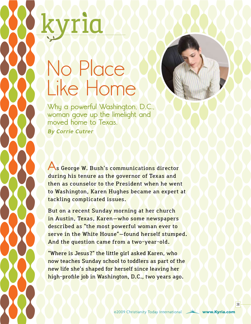# <span id="page-37-0"></span>No Place Like Home

**Why a powerful Washington, D.C., woman gave up the limelight and moved home to Texas.** By Corrie Cutrer

**A**s George W. Bush's communications director during his tenure as the governor of Texas and then as counselor to the President when he went to Washington, Karen Hughes became an expert at tackling complicated issues.

But on a recent Sunday morning at her church in Austin, Texas, Karen—who some newspapers described as "the most powerful woman ever to serve in the White House"—found herself stumped. And the question came from a two-year-old.

"Where is Jesus?" the little girl asked Karen, who now teaches Sunday school to toddlers as part of the new life she's shaped for herself since leaving her high-profile job in Washington, D.C., two years ago.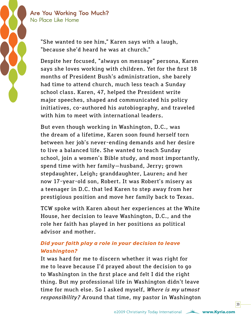

"She wanted to see him," Karen says with a laugh, "because she'd heard he was at church."

Despite her focused, "always on message" persona, Karen says she loves working with children. Yet for the first 18 months of President Bush's administration, she barely had time to attend church, much less teach a Sunday school class. Karen, 47, helped the President write major speeches, shaped and communicated his policy initiatives, co-authored his autobiography, and traveled with him to meet with international leaders.

But even though working in Washington, D.C., was the dream of a lifetime, Karen soon found herself torn between her job's never-ending demands and her desire to live a balanced life. She wanted to teach Sunday school, join a women's Bible study, and most importantly, spend time with her family—husband, Jerry; grown stepdaughter, Leigh; granddaughter, Lauren; and her now 17-year-old son, Robert. It was Robert's misery as a teenager in D.C. that led Karen to step away from her prestigious position and move her family back to Texas.

TCW spoke with Karen about her experiences at the White House, her decision to leave Washington, D.C., and the role her faith has played in her positions as political advisor and mother.

#### *Did your faith play a role in your decision to leave Washington?*

It was hard for me to discern whether it was right for me to leave because I'd prayed about the decision to go to Washington in the first place and felt I did the right thing. But my professional life in Washington didn't leave time for much else. So I asked myself, *Where is my utmost responsibility?* Around that time, my pastor in Washington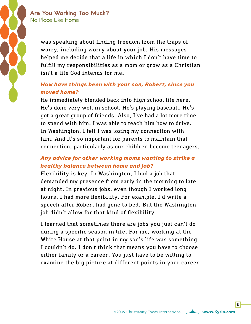

was speaking about finding freedom from the traps of worry, including worry about your job. His messages helped me decide that a life in which I don't have time to fulfill my responsibilities as a mom or grow as a Christian isn't a life God intends for me.

#### *How have things been with your son, Robert, since you moved home?*

He immediately blended back into high school life here. He's done very well in school. He's playing baseball. He's got a great group of friends. Also, I've had a lot more time to spend with him. I was able to teach him how to drive. In Washington, I felt I was losing my connection with him. And it's so important for parents to maintain that connection, particularly as our children become teenagers.

#### *Any advice for other working moms wanting to strike a healthy balance between home and job?*

Flexibility is key. In Washington, I had a job that demanded my presence from early in the morning to late at night. In previous jobs, even though I worked long hours, I had more flexibility. For example, I'd write a speech after Robert had gone to bed. But the Washington job didn't allow for that kind of flexibility.

I learned that sometimes there are jobs you just can't do during a specific season in life. For me, working at the White House at that point in my son's life was something I couldn't do. I don't think that means you have to choose either family or a career. You just have to be willing to examine the big picture at different points in your career.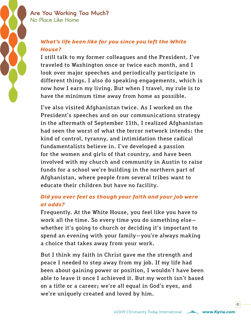

#### *What's life been like for you since you left the White House?*

I still talk to my former colleagues and the President. I've traveled to Washington once or twice each month, and I look over major speeches and periodically participate in different things. I also do speaking engagements, which is now how I earn my living. But when I travel, my rule is to have the minimum time away from home as possible.

I've also visited Afghanistan twice. As I worked on the President's speeches and on our communications strategy in the aftermath of September 11th, I realized Afghanistan had seen the worst of what the terror network intends: the kind of control, tyranny, and intimidation these radical fundamentalists believe in. I've developed a passion for the women and girls of that country, and have been involved with my church and community in Austin to raise funds for a school we're building in the northern part of Afghanistan, where people from several tribes want to educate their children but have no facility.

#### *Did you ever feel as though your faith and your job were at odds?*

Frequently. At the White House, you feel like you have to work all the time. So every time you do something else whether it's going to church or deciding it's important to spend an evening with your family—you're always making a choice that takes away from your work.

But I think my faith in Christ gave me the strength and peace I needed to step away from my job. If my life had been about gaining power or position, I wouldn't have been able to leave it once I achieved it. But my worth isn't based on a title or a career; we're all equal in God's eyes, and we're uniquely created and loved by him.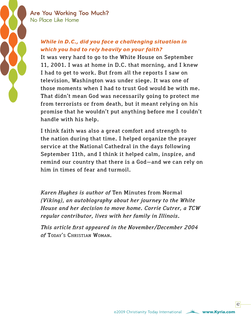

#### *While in D.C., did you face a challenging situation in which you had to rely heavily on your faith?*

It was very hard to go to the White House on September 11, 2001. I was at home in D.C. that morning, and I knew I had to get to work. But from all the reports I saw on television, Washington was under siege. It was one of those moments when I had to trust God would be with me. That didn't mean God was necessarily going to protect me from terrorists or from death, but it meant relying on his promise that he wouldn't put anything before me I couldn't handle with his help.

I think faith was also a great comfort and strength to the nation during that time. I helped organize the prayer service at the National Cathedral in the days following September 11th, and I think it helped calm, inspire, and remind our country that there is a God—and we can rely on him in times of fear and turmoil.

*Karen Hughes is author of* Ten Minutes from Normal *(Viking), an autobiography about her journey to the White House and her decision to move home. Corrie Cutrer, a TCW regular contributor, lives with her family in Illinois.* 

*This article first appeared in the November/December 2004 of* Today's Christian Woman*.*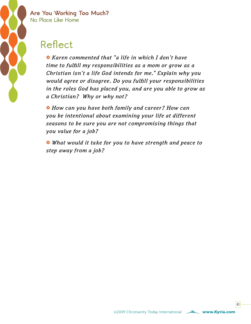

### **Reflect**

£ *Karen commented that "a life in which I don't have time to fulfill my responsibilities as a mom or grow as a Christian isn't a life God intends for me." Explain why you would agree or disagree. Do you fulfill your responsibilities in the roles God has placed you, and are you able to grow as a Christian? Why or why not?*

£ *How can you have both family and career? How can you be intentional about examining your life at different seasons to be sure you are not compromising things that you value for a job?*

£ *What would it take for you to have strength and peace to step away from a job?*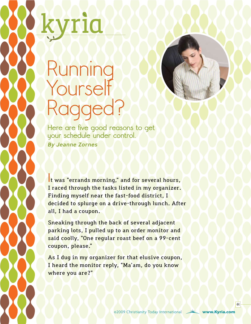## <span id="page-43-0"></span>Running Yourself Ragged?

**Here are five good reasons to get your schedule under control.** 

By Jeanne Zornes

**I**t was "errands morning," and for several hours, I raced through the tasks listed in my organizer. Finding myself near the fast-food district, I decided to splurge on a drive-through lunch. After all, I had a coupon.

Sneaking through the back of several adjacent parking lots, I pulled up to an order monitor and said coolly, "One regular roast beef on a 99-cent coupon, please."

As I dug in my organizer for that elusive coupon, I heard the monitor reply, "Ma'am, do you know where you are?"

©2009 Christianity Today International **[www.Kyria.com](www.kyria.com)**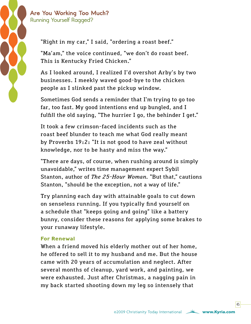

"Right in my car," I said, "ordering a roast beef."

"Ma'am," the voice continued, "we don't do roast beef. This is Kentucky Fried Chicken."

As I looked around, I realized I'd overshot Arby's by two businesses. I meekly waved good-bye to the chicken people as I slinked past the pickup window.

Sometimes God sends a reminder that I'm trying to go too far, too fast. My good intentions end up bungled, and I fulfill the old saying, "The hurrier I go, the behinder I get."

It took a few crimson-faced incidents such as the roast beef blunder to teach me what God really meant by Proverbs 19:2: "It is not good to have zeal without knowledge, nor to be hasty and miss the way."

"There are days, of course, when rushing around is simply unavoidable," writes time management expert Sybil Stanton, author of *The 25-Hour Woman.* "But that," cautions Stanton, "should be the exception, not a way of life."

Try planning each day with attainable goals to cut down on senseless running. If you typically find yourself on a schedule that "keeps going and going" like a battery bunny, consider these reasons for applying some brakes to your runaway lifestyle.

#### **For Renewal**

When a friend moved his elderly mother out of her home, he offered to sell it to my husband and me. But the house came with 20 years of accumulation and neglect. After several months of cleanup, yard work, and painting, we were exhausted. Just after Christmas, a nagging pain in my back started shooting down my leg so intensely that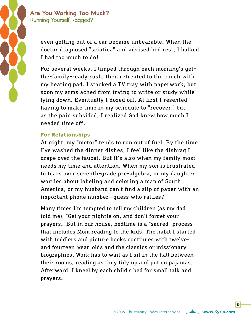

even getting out of a car became unbearable. When the doctor diagnosed "sciatica" and advised bed rest, I balked. I had too much to do!

For several weeks, I limped through each morning's getthe-family-ready rush, then retreated to the couch with my heating pad. I stacked a TV tray with paperwork, but soon my arms ached from trying to write or study while lying down. Eventually I dozed off. At first I resented having to make time in my schedule to "recover," but as the pain subsided, I realized God knew how much I needed time off.

#### **For Relationships**

At night, my "motor" tends to run out of fuel. By the time I've washed the dinner dishes, I feel like the dishrag I drape over the faucet. But it's also when my family most needs my time and attention. When my son is frustrated to tears over seventh-grade pre-algebra, or my daughter worries about labeling and coloring a map of South America, or my husband can't find a slip of paper with an important phone number—guess who rallies?

Many times I'm tempted to tell my children (as my dad told me), "Get your nightie on, and don't forget your prayers." But in our house, bedtime is a "sacred" process that includes Mom reading to the kids. The habit I started with toddlers and picture books continues with twelveand fourteen-year-olds and the classics or missionary biographies. Work has to wait as I sit in the hall between their rooms, reading as they tidy up and put on pajamas. Afterward, I kneel by each child's bed for small talk and prayers.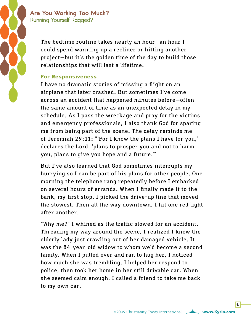

The bedtime routine takes nearly an hour—an hour I could spend warming up a recliner or hitting another project—but it's the golden time of the day to build those relationships that will last a lifetime.

#### **For Responsiveness**

I have no dramatic stories of missing a flight on an airplane that later crashed. But sometimes I've come across an accident that happened minutes before—often the same amount of time as an unexpected delay in my schedule. As I pass the wreckage and pray for the victims and emergency professionals, I also thank God for sparing me from being part of the scene. The delay reminds me of Jeremiah 29:11: "'For I know the plans I have for you,' declares the Lord, 'plans to prosper you and not to harm you, plans to give you hope and a future.'"

But I've also learned that God sometimes interrupts my hurrying so I can be part of his plans for other people. One morning the telephone rang repeatedly before I embarked on several hours of errands. When I finally made it to the bank, my first stop, I picked the drive-up line that moved the slowest. Then all the way downtown, I hit one red light after another.

"Why me?" I whined as the traffic slowed for an accident. Threading my way around the scene, I realized I knew the elderly lady just crawling out of her damaged vehicle. It was the 84-year-old widow to whom we'd become a second family. When I pulled over and ran to hug her, I noticed how much she was trembling. I helped her respond to police, then took her home in her still drivable car. When she seemed calm enough, I called a friend to take me back to my own car.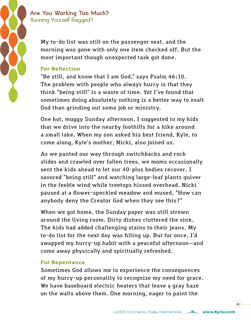

My to-do list was still on the passenger seat, and the morning was gone with only one item checked off. But the most important though unexpected task got done.

#### **For Reflection**

"Be still, and know that I am God," says Psalm 46:10. The problem with people who always hurry is that they think "being still" is a waste of time. Yet I've found that sometimes doing absolutely nothing is a better way to exalt God than grinding out some job or ministry.

One hot, muggy Sunday afternoon, I suggested to my kids that we drive into the nearby foothills for a hike around a small lake. When my son asked his best friend, Kyle, to come along, Kyle's mother, Nicki, also joined us.

As we panted our way through switchbacks and rock slides and crawled over fallen trees, we moms occasionally sent the kids ahead to let our 40-plus bodies recover. I savored "being still" and watching large-leaf plants quiver in the feeble wind while treetops hissed overhead. Nicki paused at a flower-speckled meadow and mused, "How can anybody deny the Creator God when they see this?"

When we got home, the Sunday paper was still strewn around the living room. Dirty dishes cluttered the sink. The kids had added challenging stains to their jeans. My to-do list for the next day was filling up. But for once, I'd swapped my hurry-up habit with a peaceful afternoon—and come away physically and spiritually refreshed.

#### **For Repentance**

Sometimes God allows me to experience the consequences of my hurry-up personality to recognize my need for grace. We have baseboard electric heaters that leave a gray haze on the walls above them. One morning, eager to paint the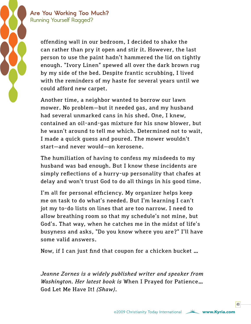

offending wall in our bedroom, I decided to shake the can rather than pry it open and stir it. However, the last person to use the paint hadn't hammered the lid on tightly enough. "Ivory Linen" spewed all over the dark brown rug by my side of the bed. Despite frantic scrubbing, I lived with the reminders of my haste for several years until we could afford new carpet.

Another time, a neighbor wanted to borrow our lawn mower. No problem—but it needed gas, and my husband had several unmarked cans in his shed. One, I knew, contained an oil-and-gas mixture for his snow blower, but he wasn't around to tell me which. Determined not to wait, I made a quick guess and poured. The mower wouldn't start—and never would—on kerosene.

The humiliation of having to confess my misdeeds to my husband was bad enough. But I know these incidents are simply reflections of a hurry-up personality that chafes at delay and won't trust God to do all things in his good time.

I'm all for personal efficiency. My organizer helps keep me on task to do what's needed. But I'm learning I can't jot my to-do lists on lines that are too narrow. I need to allow breathing room so that my schedule's not mine, but God's. That way, when he catches me in the midst of life's busyness and asks, "Do you know where you are?" I'll have some valid answers.

Now, if I can just find that coupon for a chicken bucket …

*Jeanne Zornes is a widely published writer and speaker from Washington. Her latest book is* When I Prayed for Patience… God Let Me Have It! *(Shaw).*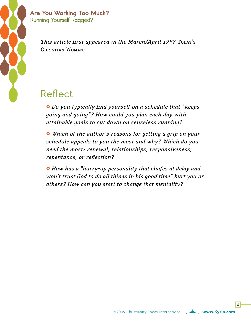

> *This article first appeared in the March/April 1997* TODAY's Christian Woman*.*

### **Reflect**

£ *Do you typically find yourself on a schedule that "keeps going and going"? How could you plan each day with attainable goals to cut down on senseless running?* 

£ *Which of the author's reasons for getting a grip on your schedule appeals to you the most and why? Which do you need the most: renewal, relationships, responsiveness, repentance, or reflection?* 

£ *How has a "hurry-up personality that chafes at delay and won't trust God to do all things in his good time" hurt you or others? How can you start to change that mentality?*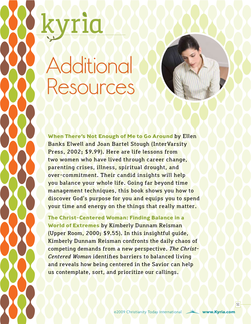## <span id="page-50-0"></span>**Additional** Resources

**[When There's Not Enough of Me to Go Around](http://www.christianbook.com/Christian/Books/product?item_no=823484&p=1026979)** by Ellen Banks Elwell and Joan Bartel Stough (InterVarsity Press, 2002; \$9.99). Here are life lessons from two women who have lived through career change, parenting crises, illness, spiritual drought, and over-commitment. Their candid insights will help you balance your whole life. Going far beyond time management techniques, this book shows you how to discover God's purpose for you and equips you to spend your time and energy on the things that really matter.

**[The Christ-Centered Woman: Finding Balance in a](http://www.christianbook.com/Christian/Books/product?item_no=9137X&p=1026979)  [World of Extremes](http://www.christianbook.com/Christian/Books/product?item_no=9137X&p=1026979)** by Kimberly Dunnam Reisman (Upper Room, 2000; \$9.55). In this insightful guide, Kimberly Dunnam Reisman confronts the daily chaos of competing demands from a new perspective. *The Christ-Centered Woman* identifies barriers to balanced living and reveals how being centered in the Savior can help us contemplate, sort, and prioritize our callings.

©2009 Christianity Today International **[www.Kyria.com](www.kyria.com)**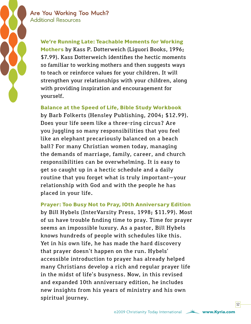

**Are You Working Too Much? Additional Resources**

> **[We're Running Late: Teachable Moments for Working](http://www.christianbook.com/Christian/Books/product?item_no=2439246&p=1026979)  [Mothers](http://www.christianbook.com/Christian/Books/product?item_no=2439246&p=1026979)** by Kass P. Dotterweich (Liguori Books, 1996; \$7.99). Kass Dotterweich identifies the hectic moments so familiar to working mothers and then suggests ways to teach or reinforce values for your children. It will strengthen your relationships with your children, along with providing inspiration and encouragement for yourself.

**[Balance at the Speed of Life, Bible Study Workbook](http://www.christianbook.com/Christian/Books/product?item_no=3220881&p=1026979)**

by Barb Folkerts (Hensley Publishing, 2004; \$12.99). Does your life seem like a three-ring circus? Are you juggling so many responsibilities that you feel like an elephant precariously balanced on a beach ball? For many Christian women today, managing the demands of marriage, family, career, and church responsibilities can be overwhelming. It is easy to get so caught up in a hectic schedule and a daily routine that you forget what is truly important—your relationship with God and with the people he has placed in your life.

**[Prayer: Too Busy Not to Pray, 10th Anniversary Edition](http://www.christianbook.com/Christian/Books/product?item_no=81971&p=1026979)** by Bill Hybels (InterVarsity Press, 1998; \$11.99). Most of us have trouble finding time to pray. Time for prayer seems an impossible luxury. As a pastor, Bill Hybels knows hundreds of people with schedules like this. Yet in his own life, he has made the hard discovery that prayer doesn't happen on the run. Hybels' accessible introduction to prayer has already helped many Christians develop a rich and regular prayer life in the midst of life's busyness. Now, in this revised and expanded 10th anniversary edition, he includes new insights from his years of ministry and his own spiritual journey.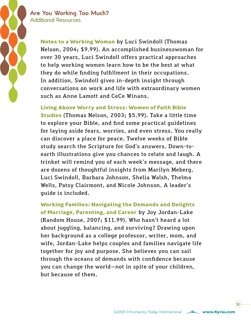

**Are You Working Too Much? Additional Resources**

> **[Notes to a Working Woman](http://www.christianbook.com/Christian/Books/product?item_no=45394&p=1026979)** by Luci Swindoll (Thomas Nelson, 2004; \$9.99). An accomplished businesswoman for over 30 years, Luci Swindoll offers practical approaches to help working women learn how to be the best at what they do while finding fulfillment in their occupations. In addition, Swindoll gives in-depth insight through conversations on work and life with extraordinary women such as Anne Lamott and CeCe Winans.

**[Living Above Worry and Stress: Women of Faith Bible](http://www.christianbook.com/Christian/Books/product?item_no=49869&p=1026979)** 

**[Studies](http://www.christianbook.com/Christian/Books/product?item_no=49869&p=1026979)** (Thomas Nelson, 2003; \$5.99). Take a little time to explore your Bible, and find some practical guidelines for laying aside fears, worries, and even stress. You really can discover a place for peace. Twelve weeks of Bible study search the Scripture for God's answers. Down-toearth illustrations give you chances to relate and laugh. A trinket will remind you of each week's message, and there are dozens of thoughtful insights from Marilyn Meberg, Luci Swindoll, Barbara Johnson, Shelia Walsh, Thelma Wells, Patsy Clairmont, and Nicole Johnson. A leader's guide is included.

**[Working Families: Navigating the Demands and Delights](http://www.christianbook.com/Christian/Books/product?item_no=881995&p=1026979)  [of Marriage, Parenting, and Career](http://www.christianbook.com/Christian/Books/product?item_no=881995&p=1026979)** by Joy Jordan-Lake (Random House, 2007; \$11.99). Who hasn't heard a lot about juggling, balancing, and surviving? Drawing upon her background as a college professor, writer, mom, and wife, Jordan-Lake helps couples and families navigate life together for joy and purpose. She believes you can sail through the oceans of demands with confidence because you can change the world—not in spite of your children, but because of them.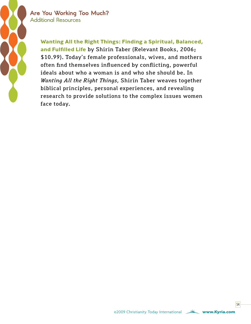

**Are You Working Too Much? Additional Resources**

> **[Wanting All the Right Things: Finding a Spiritual, Balanced,](http://www.christianbook.com/Christian/Books/product?item_no=616797&p=1026979)  [and Fulfilled Life](http://www.christianbook.com/Christian/Books/product?item_no=616797&p=1026979)** by Shirin Taber (Relevant Books, 2006; \$10.99). Today's female professionals, wives, and mothers often find themselves influenced by conflicting, powerful ideals about who a woman is and who she should be. In *Wanting All the Right Things,* Shirin Taber weaves together biblical principles, personal experiences, and revealing research to provide solutions to the complex issues women face today.